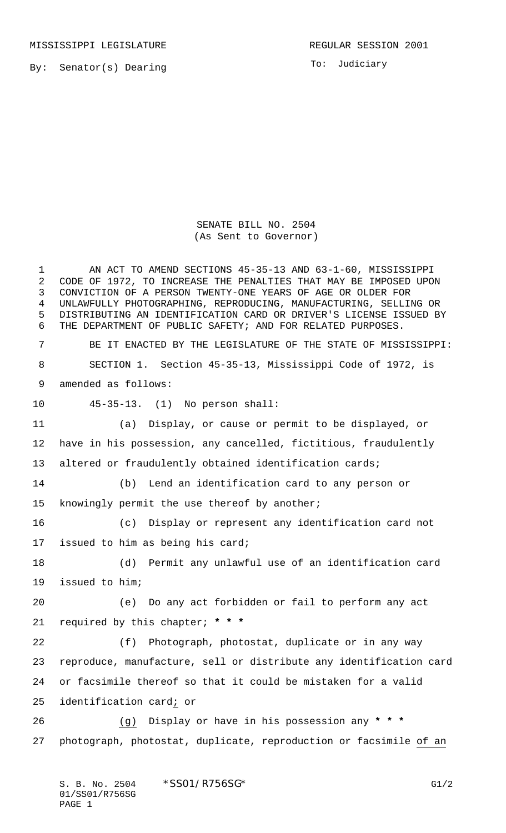MISSISSIPPI LEGISLATURE **REGULAR SESSION 2001** 

By: Senator(s) Dearing

To: Judiciary

SENATE BILL NO. 2504 (As Sent to Governor)

 AN ACT TO AMEND SECTIONS 45-35-13 AND 63-1-60, MISSISSIPPI CODE OF 1972, TO INCREASE THE PENALTIES THAT MAY BE IMPOSED UPON CONVICTION OF A PERSON TWENTY-ONE YEARS OF AGE OR OLDER FOR UNLAWFULLY PHOTOGRAPHING, REPRODUCING, MANUFACTURING, SELLING OR DISTRIBUTING AN IDENTIFICATION CARD OR DRIVER'S LICENSE ISSUED BY THE DEPARTMENT OF PUBLIC SAFETY; AND FOR RELATED PURPOSES. BE IT ENACTED BY THE LEGISLATURE OF THE STATE OF MISSISSIPPI: SECTION 1. Section 45-35-13, Mississippi Code of 1972, is amended as follows: 45-35-13. (1) No person shall: (a) Display, or cause or permit to be displayed, or have in his possession, any cancelled, fictitious, fraudulently altered or fraudulently obtained identification cards; (b) Lend an identification card to any person or knowingly permit the use thereof by another; (c) Display or represent any identification card not issued to him as being his card; (d) Permit any unlawful use of an identification card issued to him; (e) Do any act forbidden or fail to perform any act required by this chapter; **\* \* \*** (f) Photograph, photostat, duplicate or in any way reproduce, manufacture, sell or distribute any identification card or facsimile thereof so that it could be mistaken for a valid identification card; or (g) Display or have in his possession any **\* \* \*** photograph, photostat, duplicate, reproduction or facsimile of an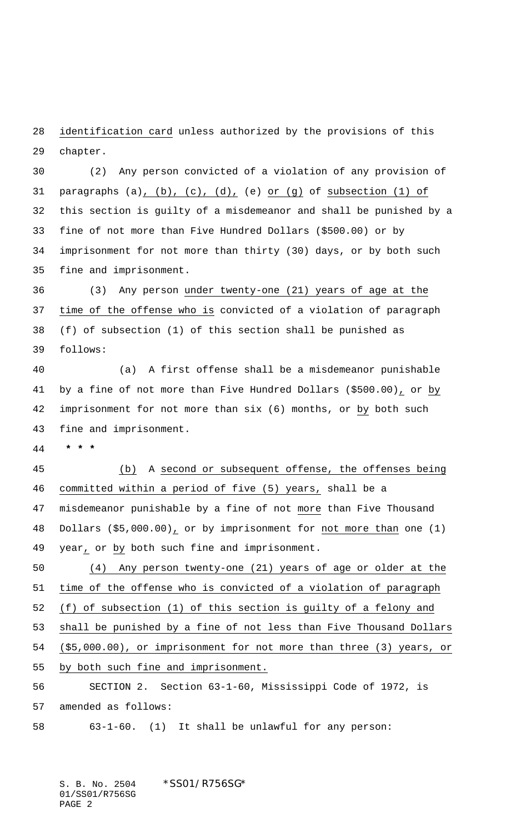28 identification card unless authorized by the provisions of this chapter.

 (2) Any person convicted of a violation of any provision of paragraphs (a), (b), (c), (d), (e) or (g) of subsection (1) of this section is guilty of a misdemeanor and shall be punished by a fine of not more than Five Hundred Dollars (\$500.00) or by imprisonment for not more than thirty (30) days, or by both such fine and imprisonment.

 (3) Any person under twenty-one (21) years of age at the time of the offense who is convicted of a violation of paragraph (f) of subsection (1) of this section shall be punished as follows:

 (a) A first offense shall be a misdemeanor punishable by a fine of not more than Five Hundred Dollars (\$500.00), or by imprisonment for not more than six (6) months, or by both such fine and imprisonment.

 **\* \* \***

 (b) A second or subsequent offense, the offenses being committed within a period of five (5) years, shall be a misdemeanor punishable by a fine of not more than Five Thousand Dollars (\$5,000.00), or by imprisonment for not more than one (1) year, or by both such fine and imprisonment.

 (4) Any person twenty-one (21) years of age or older at the time of the offense who is convicted of a violation of paragraph (f) of subsection (1) of this section is guilty of a felony and shall be punished by a fine of not less than Five Thousand Dollars (\$5,000.00), or imprisonment for not more than three (3) years, or by both such fine and imprisonment. SECTION 2. Section 63-1-60, Mississippi Code of 1972, is

amended as follows:

63-1-60. (1) It shall be unlawful for any person:

S. B. No. 2504 \* SS01/R756SG\* 01/SS01/R756SG PAGE 2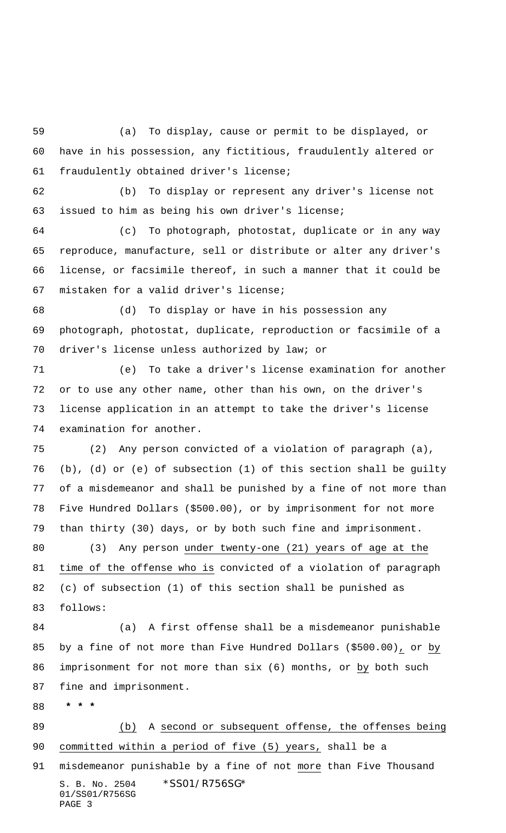(a) To display, cause or permit to be displayed, or have in his possession, any fictitious, fraudulently altered or fraudulently obtained driver's license;

 (b) To display or represent any driver's license not issued to him as being his own driver's license;

 (c) To photograph, photostat, duplicate or in any way reproduce, manufacture, sell or distribute or alter any driver's license, or facsimile thereof, in such a manner that it could be mistaken for a valid driver's license;

 (d) To display or have in his possession any photograph, photostat, duplicate, reproduction or facsimile of a driver's license unless authorized by law; or

 (e) To take a driver's license examination for another or to use any other name, other than his own, on the driver's license application in an attempt to take the driver's license examination for another.

 (2) Any person convicted of a violation of paragraph (a), (b), (d) or (e) of subsection (1) of this section shall be guilty of a misdemeanor and shall be punished by a fine of not more than Five Hundred Dollars (\$500.00), or by imprisonment for not more than thirty (30) days, or by both such fine and imprisonment.

 (3) Any person under twenty-one (21) years of age at the time of the offense who is convicted of a violation of paragraph (c) of subsection (1) of this section shall be punished as follows:

 (a) A first offense shall be a misdemeanor punishable by a fine of not more than Five Hundred Dollars (\$500.00), or by imprisonment for not more than six (6) months, or by both such fine and imprisonment.

 **\* \* \***

PAGE 3

S. B. No. 2504 \*SS01/R756SG\* 01/SS01/R756SG (b) A second or subsequent offense, the offenses being committed within a period of five (5) years, shall be a 91 misdemeanor punishable by a fine of not more than Five Thousand